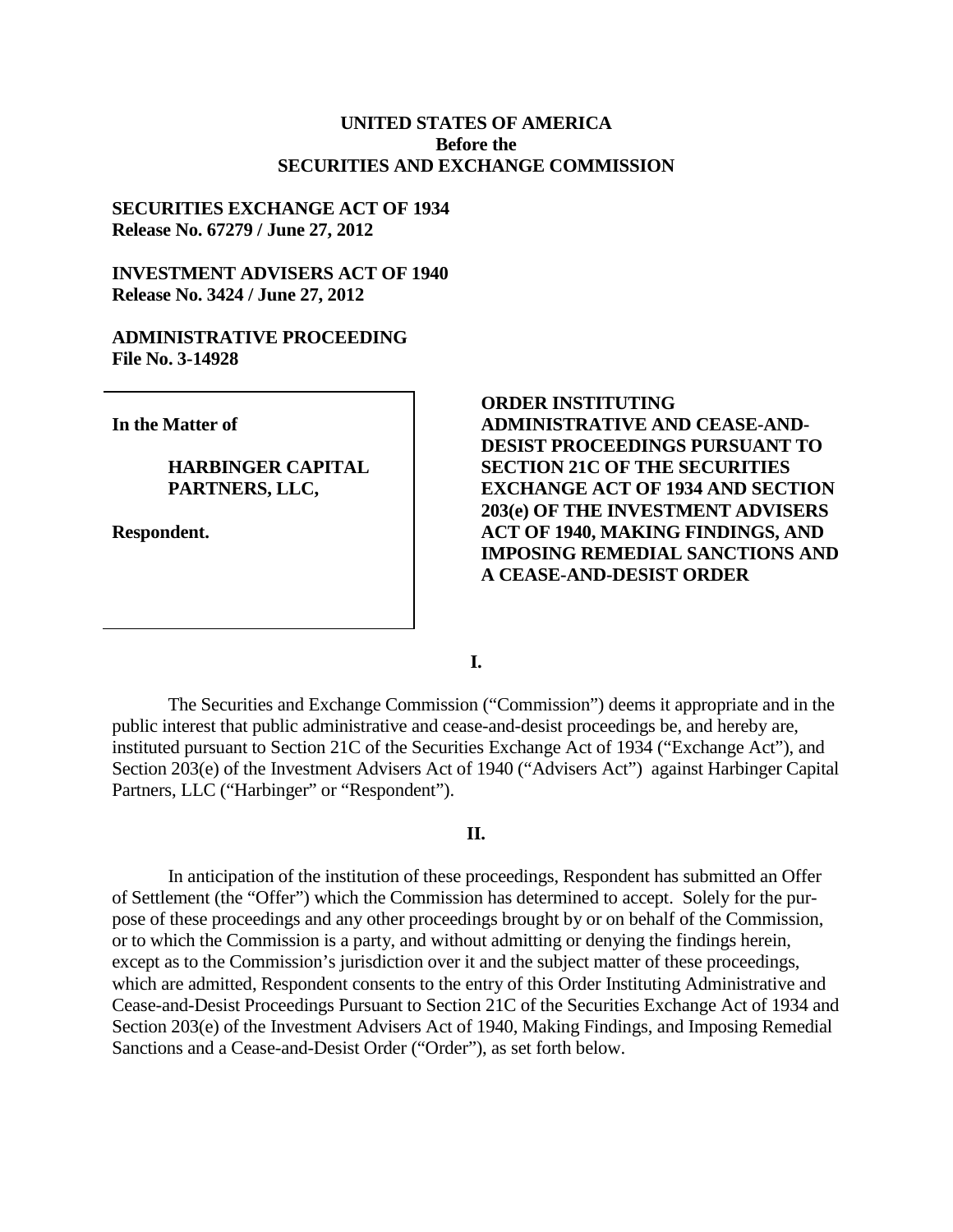### **UNITED STATES OF AMERICA Before the SECURITIES AND EXCHANGE COMMISSION**

#### **SECURITIES EXCHANGE ACT OF 1934 Release No. 67279 / June 27, 2012**

## **INVESTMENT ADVISERS ACT OF 1940 Release No. 3424 / June 27, 2012**

#### **ADMINISTRATIVE PROCEEDING File No. 3-14928**

**In the Matter of**

#### **HARBINGER CAPITAL PARTNERS, LLC,**

**Respondent.**

**ORDER INSTITUTING ADMINISTRATIVE AND CEASE-AND-DESIST PROCEEDINGS PURSUANT TO SECTION 21C OF THE SECURITIES EXCHANGE ACT OF 1934 AND SECTION 203(e) OF THE INVESTMENT ADVISERS ACT OF 1940, MAKING FINDINGS, AND IMPOSING REMEDIAL SANCTIONS AND A CEASE-AND-DESIST ORDER** 

**I.**

The Securities and Exchange Commission ("Commission") deems it appropriate and in the public interest that public administrative and cease-and-desist proceedings be, and hereby are, instituted pursuant to Section 21C of the Securities Exchange Act of 1934 ("Exchange Act"), and Section 203(e) of the Investment Advisers Act of 1940 ("Advisers Act") against Harbinger Capital Partners, LLC ("Harbinger" or "Respondent").

#### **II.**

In anticipation of the institution of these proceedings, Respondent has submitted an Offer of Settlement (the "Offer") which the Commission has determined to accept. Solely for the purpose of these proceedings and any other proceedings brought by or on behalf of the Commission, or to which the Commission is a party, and without admitting or denying the findings herein, except as to the Commission's jurisdiction over it and the subject matter of these proceedings, which are admitted, Respondent consents to the entry of this Order Instituting Administrative and Cease-and-Desist Proceedings Pursuant to Section 21C of the Securities Exchange Act of 1934 and Section 203(e) of the Investment Advisers Act of 1940, Making Findings, and Imposing Remedial Sanctions and a Cease-and-Desist Order ("Order"), as set forth below.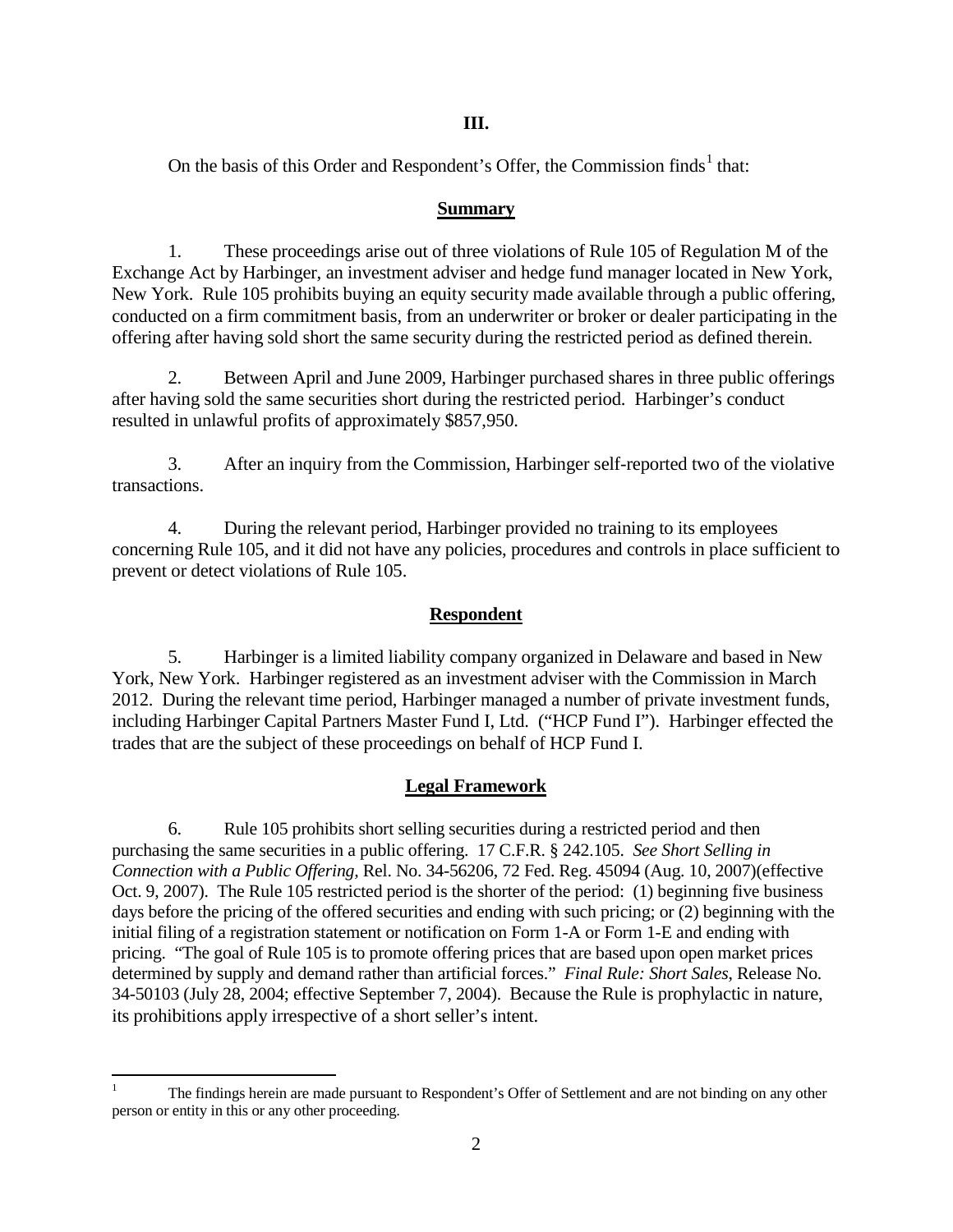### **III.**

On the basis of this Order and Respondent's Offer, the Commission finds<sup>[1](#page-1-0)</sup> that:

## **Summary**

1. These proceedings arise out of three violations of Rule 105 of Regulation M of the Exchange Act by Harbinger, an investment adviser and hedge fund manager located in New York, New York. Rule 105 prohibits buying an equity security made available through a public offering, conducted on a firm commitment basis, from an underwriter or broker or dealer participating in the offering after having sold short the same security during the restricted period as defined therein.

2. Between April and June 2009, Harbinger purchased shares in three public offerings after having sold the same securities short during the restricted period. Harbinger's conduct resulted in unlawful profits of approximately \$857,950.

3. After an inquiry from the Commission, Harbinger self-reported two of the violative transactions.

4. During the relevant period, Harbinger provided no training to its employees concerning Rule 105, and it did not have any policies, procedures and controls in place sufficient to prevent or detect violations of Rule 105.

## **Respondent**

5. Harbinger is a limited liability company organized in Delaware and based in New York, New York. Harbinger registered as an investment adviser with the Commission in March 2012. During the relevant time period, Harbinger managed a number of private investment funds, including Harbinger Capital Partners Master Fund I, Ltd. ("HCP Fund I"). Harbinger effected the trades that are the subject of these proceedings on behalf of HCP Fund I.

# **Legal Framework**

6. Rule 105 prohibits short selling securities during a restricted period and then purchasing the same securities in a public offering. 17 C.F.R. § 242.105. *See Short Selling in Connection with a Public Offering,* Rel. No. 34-56206, 72 Fed. Reg. 45094 (Aug. 10, 2007)(effective Oct. 9, 2007). The Rule 105 restricted period is the shorter of the period: (1) beginning five business days before the pricing of the offered securities and ending with such pricing; or (2) beginning with the initial filing of a registration statement or notification on Form 1-A or Form 1-E and ending with pricing. "The goal of Rule 105 is to promote offering prices that are based upon open market prices determined by supply and demand rather than artificial forces." *Final Rule: Short Sales*, Release No. 34-50103 (July 28, 2004; effective September 7, 2004). Because the Rule is prophylactic in nature, its prohibitions apply irrespective of a short seller's intent.

<span id="page-1-0"></span> <sup>1</sup> The findings herein are made pursuant to Respondent's Offer of Settlement and are not binding on any other person or entity in this or any other proceeding.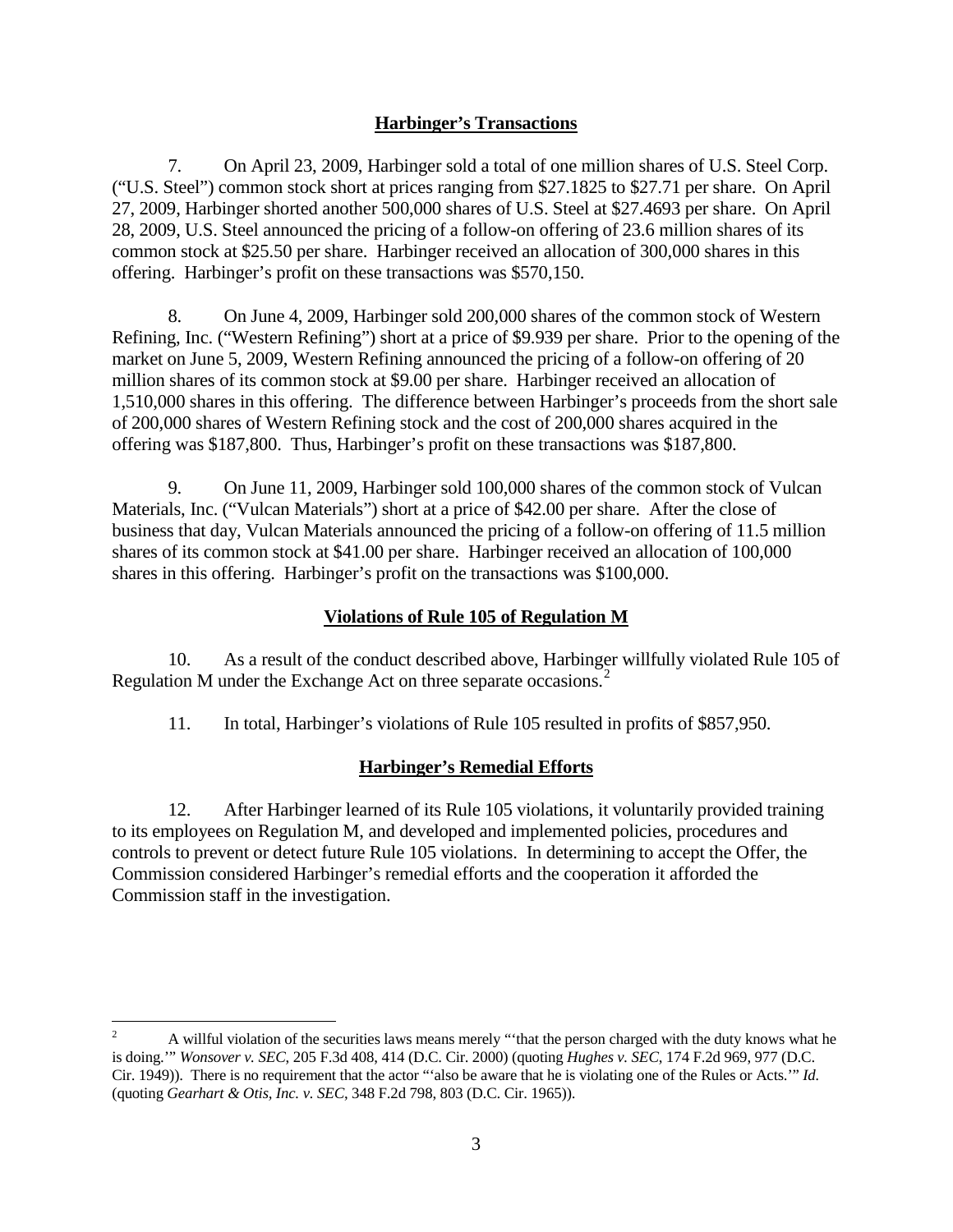## **Harbinger's Transactions**

7. On April 23, 2009, Harbinger sold a total of one million shares of U.S. Steel Corp. ("U.S. Steel") common stock short at prices ranging from \$27.1825 to \$27.71 per share. On April 27, 2009, Harbinger shorted another 500,000 shares of U.S. Steel at \$27.4693 per share. On April 28, 2009, U.S. Steel announced the pricing of a follow-on offering of 23.6 million shares of its common stock at \$25.50 per share. Harbinger received an allocation of 300,000 shares in this offering. Harbinger's profit on these transactions was \$570,150.

8. On June 4, 2009, Harbinger sold 200,000 shares of the common stock of Western Refining, Inc. ("Western Refining") short at a price of \$9.939 per share. Prior to the opening of the market on June 5, 2009, Western Refining announced the pricing of a follow-on offering of 20 million shares of its common stock at \$9.00 per share. Harbinger received an allocation of 1,510,000 shares in this offering. The difference between Harbinger's proceeds from the short sale of 200,000 shares of Western Refining stock and the cost of 200,000 shares acquired in the offering was \$187,800. Thus, Harbinger's profit on these transactions was \$187,800.

9. On June 11, 2009, Harbinger sold 100,000 shares of the common stock of Vulcan Materials, Inc. ("Vulcan Materials") short at a price of \$42.00 per share. After the close of business that day, Vulcan Materials announced the pricing of a follow-on offering of 11.5 million shares of its common stock at \$41.00 per share. Harbinger received an allocation of 100,000 shares in this offering. Harbinger's profit on the transactions was \$100,000.

## **Violations of Rule 105 of Regulation M**

10. As a result of the conduct described above, Harbinger willfully violated Rule 105 of Regulation M under the Exchange Act on three separate occasions.<sup>[2](#page-2-0)</sup>

11. In total, Harbinger's violations of Rule 105 resulted in profits of \$857,950.

## **Harbinger's Remedial Efforts**

12. After Harbinger learned of its Rule 105 violations, it voluntarily provided training to its employees on Regulation M, and developed and implemented policies, procedures and controls to prevent or detect future Rule 105 violations. In determining to accept the Offer, the Commission considered Harbinger's remedial efforts and the cooperation it afforded the Commission staff in the investigation.

<span id="page-2-0"></span><sup>&</sup>lt;sup>2</sup> A willful violation of the securities laws means merely "that the person charged with the duty knows what he is doing.'" *Wonsover v. SEC*, 205 F.3d 408, 414 (D.C. Cir. 2000) (quoting *Hughes v. SEC*, 174 F.2d 969, 977 (D.C. Cir. 1949)). There is no requirement that the actor "'also be aware that he is violating one of the Rules or Acts.'" *Id.*  (quoting *Gearhart & Otis, Inc. v. SEC*, 348 F.2d 798, 803 (D.C. Cir. 1965)).